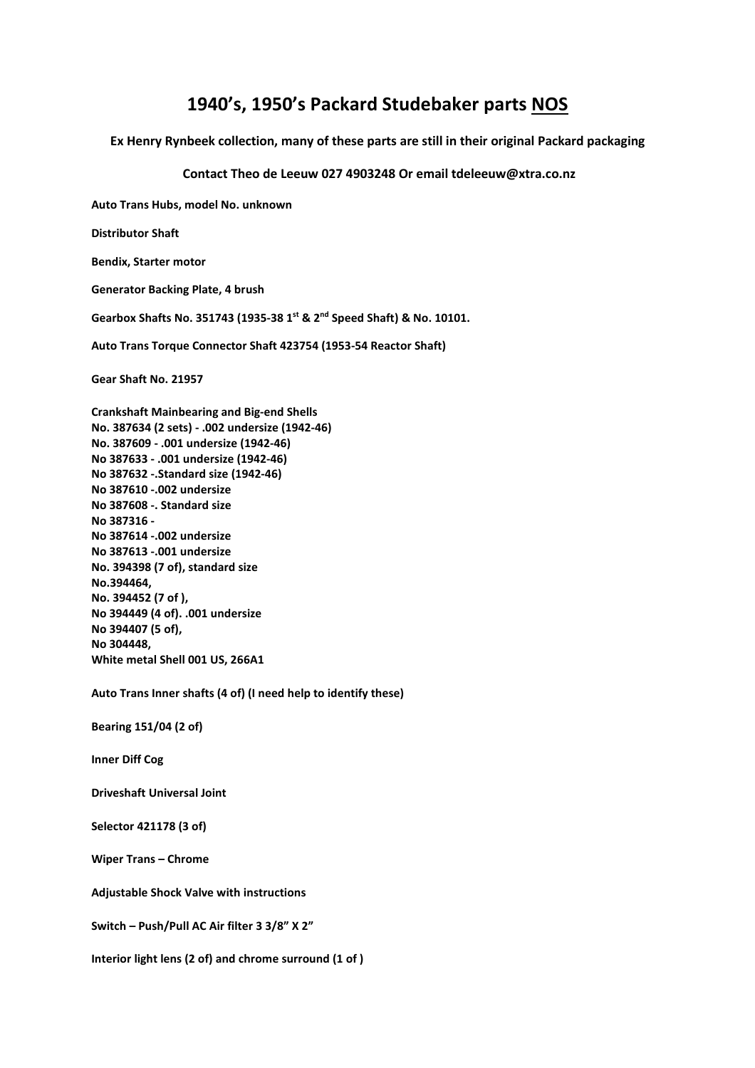## **1940's, 1950's Packard Studebaker parts NOS**

**Ex Henry Rynbeek collection, many of these parts are still in their original Packard packaging** 

 **Contact Theo de Leeuw 027 4903248 Or email tdeleeuw@xtra.co.nz** 

**Auto Trans Hubs, model No. unknown Distributor Shaft Bendix, Starter motor Generator Backing Plate, 4 brush Gearbox Shafts No. 351743 (1935-38 1st & 2nd Speed Shaft) & No. 10101. Auto Trans Torque Connector Shaft 423754 (1953-54 Reactor Shaft) Gear Shaft No. 21957 Crankshaft Mainbearing and Big-end Shells No. 387634 (2 sets) - .002 undersize (1942-46) No. 387609 - .001 undersize (1942-46) No 387633 - .001 undersize (1942-46) No 387632 -.Standard size (1942-46) No 387610 -.002 undersize No 387608 -. Standard size No 387316 - No 387614 -.002 undersize No 387613 -.001 undersize No. 394398 (7 of), standard size No.394464, No. 394452 (7 of ), No 394449 (4 of). .001 undersize No 394407 (5 of), No 304448, White metal Shell 001 US, 266A1 Auto Trans Inner shafts (4 of) (I need help to identify these) Bearing 151/04 (2 of) Inner Diff Cog** 

**Driveshaft Universal Joint** 

**Selector 421178 (3 of)** 

**Wiper Trans – Chrome** 

**Adjustable Shock Valve with instructions** 

**Switch – Push/Pull AC Air filter 3 3/8" X 2"** 

**Interior light lens (2 of) and chrome surround (1 of )**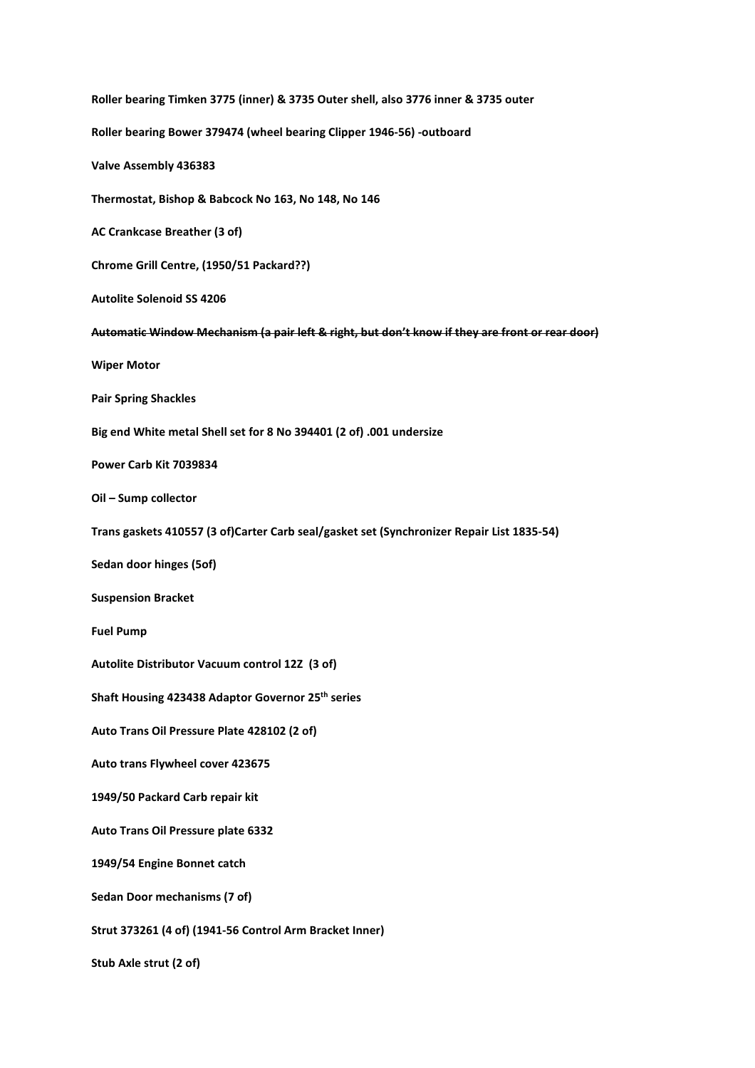**Roller bearing Timken 3775 (inner) & 3735 Outer shell, also 3776 inner & 3735 outer Roller bearing Bower 379474 (wheel bearing Clipper 1946-56) -outboard Valve Assembly 436383 Thermostat, Bishop & Babcock No 163, No 148, No 146 AC Crankcase Breather (3 of) Chrome Grill Centre, (1950/51 Packard??) Autolite Solenoid SS 4206 Automatic Window Mechanism (a pair left & right, but don't know if they are front or rear door) Wiper Motor Pair Spring Shackles Big end White metal Shell set for 8 No 394401 (2 of) .001 undersize Power Carb Kit 7039834 Oil – Sump collector Trans gaskets 410557 (3 of)Carter Carb seal/gasket set (Synchronizer Repair List 1835-54) Sedan door hinges (5of) Suspension Bracket Fuel Pump Autolite Distributor Vacuum control 12Z (3 of) Shaft Housing 423438 Adaptor Governor 25th series Auto Trans Oil Pressure Plate 428102 (2 of) Auto trans Flywheel cover 423675 1949/50 Packard Carb repair kit Auto Trans Oil Pressure plate 6332 1949/54 Engine Bonnet catch Sedan Door mechanisms (7 of) Strut 373261 (4 of) (1941-56 Control Arm Bracket Inner) Stub Axle strut (2 of)**